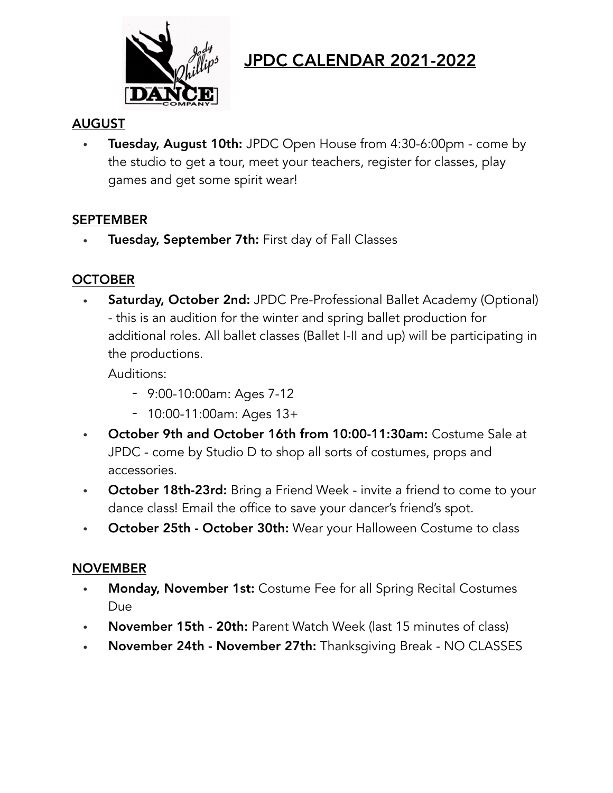

# JPDC CALENDAR 2021-2022

#### AUGUST

• Tuesday, August 10th: JPDC Open House from 4:30-6:00pm - come by the studio to get a tour, meet your teachers, register for classes, play games and get some spirit wear!

#### SEPTEMBER

Tuesday, September 7th: First day of Fall Classes

#### **OCTOBER**

**Saturday, October 2nd:** JPDC Pre-Professional Ballet Academy (Optional) - this is an audition for the winter and spring ballet production for additional roles. All ballet classes (Ballet I-II and up) will be participating in the productions.

Auditions:

- 9:00-10:00am: Ages 7-12
- 10:00-11:00am: Ages 13+
- October 9th and October 16th from 10:00-11:30am: Costume Sale at JPDC - come by Studio D to shop all sorts of costumes, props and accessories.
- October 18th-23rd: Bring a Friend Week invite a friend to come to your dance class! Email the office to save your dancer's friend's spot.
- **October 25th October 30th:** Wear your Halloween Costume to class

#### NOVEMBER

- Monday, November 1st: Costume Fee for all Spring Recital Costumes Due
- November 15th 20th: Parent Watch Week (last 15 minutes of class)
- November 24th November 27th: Thanksgiving Break NO CLASSES